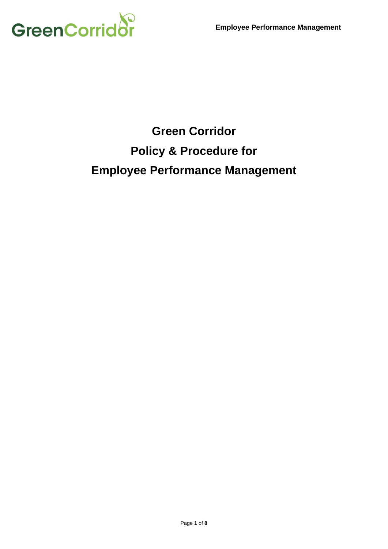

# **Green Corridor Policy & Procedure for Employee Performance Management**

Page **1** of **8**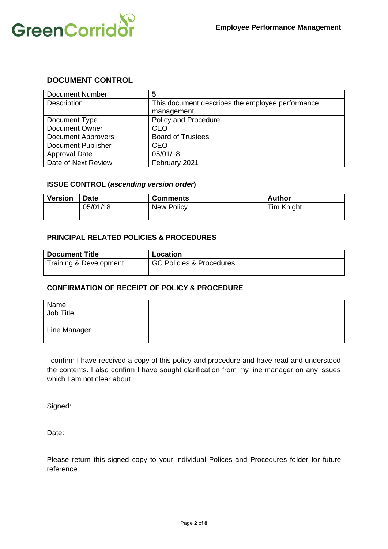

### **DOCUMENT CONTROL**

| <b>Document Number</b>    | 5                                                |
|---------------------------|--------------------------------------------------|
| Description               | This document describes the employee performance |
|                           | management.                                      |
| Document Type             | Policy and Procedure                             |
| <b>Document Owner</b>     | CEO                                              |
| <b>Document Approvers</b> | <b>Board of Trustees</b>                         |
| <b>Document Publisher</b> | CEO                                              |
| <b>Approval Date</b>      | 05/01/18                                         |
| Date of Next Review       | February 2021                                    |

#### **ISSUE CONTROL (***ascending version order***)**

| <b>Version</b> | <b>Date</b> | <b>Comments</b> | Author            |
|----------------|-------------|-----------------|-------------------|
|                | 05/01/18    | New Policy      | <b>Tim Knight</b> |
|                |             |                 |                   |

#### **PRINCIPAL RELATED POLICIES & PROCEDURES**

| <b>Document Title</b>  | Location                            |
|------------------------|-------------------------------------|
| Training & Development | <b>GC Policies &amp; Procedures</b> |

#### **CONFIRMATION OF RECEIPT OF POLICY & PROCEDURE**

| Name         |  |
|--------------|--|
| Job Title    |  |
| Line Manager |  |

I confirm I have received a copy of this policy and procedure and have read and understood the contents. I also confirm I have sought clarification from my line manager on any issues which I am not clear about.

Signed:

Date:

Please return this signed copy to your individual Polices and Procedures folder for future reference.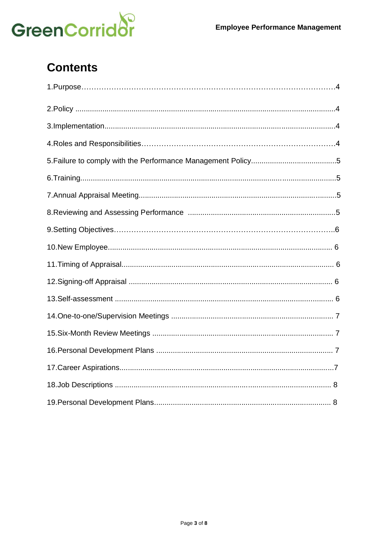

## **Contents**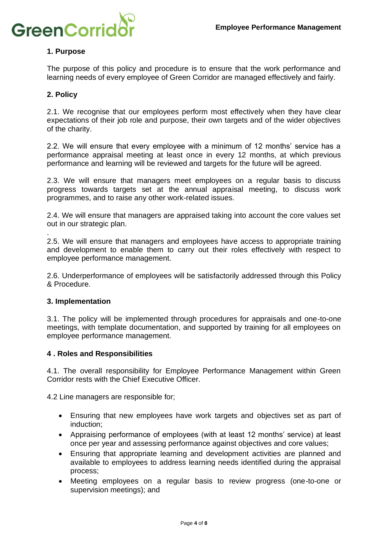

#### **1. Purpose**

The purpose of this policy and procedure is to ensure that the work performance and learning needs of every employee of Green Corridor are managed effectively and fairly.

#### **2. Policy**

.

2.1. We recognise that our employees perform most effectively when they have clear expectations of their job role and purpose, their own targets and of the wider objectives of the charity.

2.2. We will ensure that every employee with a minimum of 12 months' service has a performance appraisal meeting at least once in every 12 months, at which previous performance and learning will be reviewed and targets for the future will be agreed.

2.3. We will ensure that managers meet employees on a regular basis to discuss progress towards targets set at the annual appraisal meeting, to discuss work programmes, and to raise any other work-related issues.

2.4. We will ensure that managers are appraised taking into account the core values set out in our strategic plan.

2.5. We will ensure that managers and employees have access to appropriate training and development to enable them to carry out their roles effectively with respect to employee performance management.

2.6. Underperformance of employees will be satisfactorily addressed through this Policy & Procedure.

#### **3. Implementation**

3.1. The policy will be implemented through procedures for appraisals and one-to-one meetings, with template documentation, and supported by training for all employees on employee performance management.

#### **4 . Roles and Responsibilities**

4.1. The overall responsibility for Employee Performance Management within Green Corridor rests with the Chief Executive Officer.

4.2 Line managers are responsible for;

- Ensuring that new employees have work targets and objectives set as part of induction;
- Appraising performance of employees (with at least 12 months' service) at least once per year and assessing performance against objectives and core values;
- Ensuring that appropriate learning and development activities are planned and available to employees to address learning needs identified during the appraisal process;
- Meeting employees on a regular basis to review progress (one-to-one or supervision meetings); and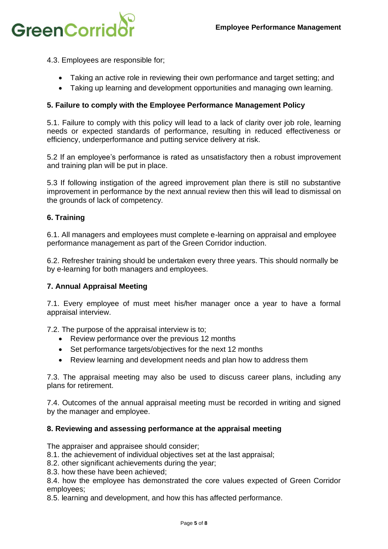

4.3. Employees are responsible for;

- Taking an active role in reviewing their own performance and target setting; and
- Taking up learning and development opportunities and managing own learning.

#### **5. Failure to comply with the Employee Performance Management Policy**

5.1. Failure to comply with this policy will lead to a lack of clarity over job role, learning needs or expected standards of performance, resulting in reduced effectiveness or efficiency, underperformance and putting service delivery at risk.

5.2 If an employee's performance is rated as unsatisfactory then a robust improvement and training plan will be put in place.

5.3 If following instigation of the agreed improvement plan there is still no substantive improvement in performance by the next annual review then this will lead to dismissal on the grounds of lack of competency.

#### **6. Training**

6.1. All managers and employees must complete e-learning on appraisal and employee performance management as part of the Green Corridor induction.

6.2. Refresher training should be undertaken every three years. This should normally be by e-learning for both managers and employees.

#### **7. Annual Appraisal Meeting**

7.1. Every employee of must meet his/her manager once a year to have a formal appraisal interview.

7.2. The purpose of the appraisal interview is to;

- Review performance over the previous 12 months
- Set performance targets/objectives for the next 12 months
- Review learning and development needs and plan how to address them

7.3. The appraisal meeting may also be used to discuss career plans, including any plans for retirement.

7.4. Outcomes of the annual appraisal meeting must be recorded in writing and signed by the manager and employee.

#### **8. Reviewing and assessing performance at the appraisal meeting**

The appraiser and appraisee should consider;

- 8.1. the achievement of individual objectives set at the last appraisal;
- 8.2. other significant achievements during the year;
- 8.3. how these have been achieved;

8.4. how the employee has demonstrated the core values expected of Green Corridor employees;

8.5. learning and development, and how this has affected performance.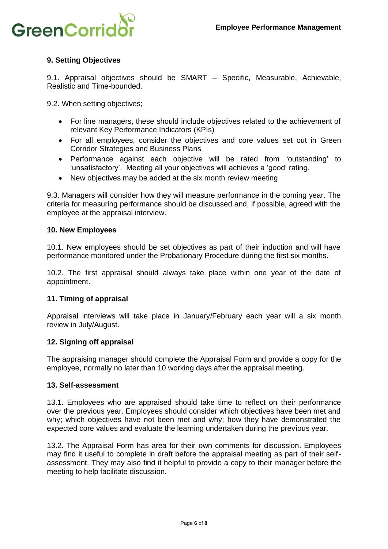

#### **9. Setting Objectives**

9.1. Appraisal objectives should be SMART – Specific, Measurable, Achievable, Realistic and Time-bounded.

9.2. When setting objectives;

- For line managers, these should include objectives related to the achievement of relevant Key Performance Indicators (KPIs)
- For all employees, consider the objectives and core values set out in Green Corridor Strategies and Business Plans
- Performance against each objective will be rated from 'outstanding' to 'unsatisfactory'. Meeting all your objectives will achieves a 'good' rating.
- New objectives may be added at the six month review meeting

9.3. Managers will consider how they will measure performance in the coming year. The criteria for measuring performance should be discussed and, if possible, agreed with the employee at the appraisal interview.

#### **10. New Employees**

10.1. New employees should be set objectives as part of their induction and will have performance monitored under the Probationary Procedure during the first six months.

10.2. The first appraisal should always take place within one year of the date of appointment.

#### **11. Timing of appraisal**

Appraisal interviews will take place in January/February each year will a six month review in July/August.

#### **12. Signing off appraisal**

The appraising manager should complete the Appraisal Form and provide a copy for the employee, normally no later than 10 working days after the appraisal meeting.

#### **13. Self-assessment**

13.1. Employees who are appraised should take time to reflect on their performance over the previous year. Employees should consider which objectives have been met and why; which objectives have not been met and why; how they have demonstrated the expected core values and evaluate the learning undertaken during the previous year.

13.2. The Appraisal Form has area for their own comments for discussion. Employees may find it useful to complete in draft before the appraisal meeting as part of their selfassessment. They may also find it helpful to provide a copy to their manager before the meeting to help facilitate discussion.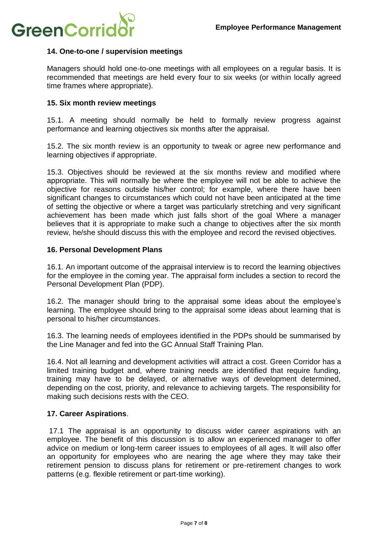

#### **14. One-to-one / supervision meetings**

Managers should hold one-to-one meetings with all employees on a regular basis. It is recommended that meetings are held every four to six weeks (or within locally agreed time frames where appropriate).

#### **15. Six month review meetings**

15.1. A meeting should normally be held to formally review progress against performance and learning objectives six months after the appraisal.

15.2. The six month review is an opportunity to tweak or agree new performance and learning objectives if appropriate.

15.3. Objectives should be reviewed at the six months review and modified where appropriate. This will normally be where the employee will not be able to achieve the objective for reasons outside his/her control; for example, where there have been significant changes to circumstances which could not have been anticipated at the time of setting the objective or where a target was particularly stretching and very significant achievement has been made which just falls short of the goal Where a manager believes that it is appropriate to make such a change to objectives after the six month review, he/she should discuss this with the employee and record the revised objectives.

#### **16. Personal Development Plans**

16.1. An important outcome of the appraisal interview is to record the learning objectives for the employee in the coming year. The appraisal form includes a section to record the Personal Development Plan (PDP).

16.2. The manager should bring to the appraisal some ideas about the employee's learning. The employee should bring to the appraisal some ideas about learning that is personal to his/her circumstances.

16.3. The learning needs of employees identified in the PDPs should be summarised by the Line Manager and fed into the GC Annual Staff Training Plan.

16.4. Not all learning and development activities will attract a cost. Green Corridor has a limited training budget and, where training needs are identified that require funding, training may have to be delayed, or alternative ways of development determined, depending on the cost, priority, and relevance to achieving targets. The responsibility for making such decisions rests with the CEO.

#### **17. Career Aspirations**.

17.1 The appraisal is an opportunity to discuss wider career aspirations with an employee. The benefit of this discussion is to allow an experienced manager to offer advice on medium or long-term career issues to employees of all ages. It will also offer an opportunity for employees who are nearing the age where they may take their retirement pension to discuss plans for retirement or pre-retirement changes to work patterns (e.g. flexible retirement or part-time working).